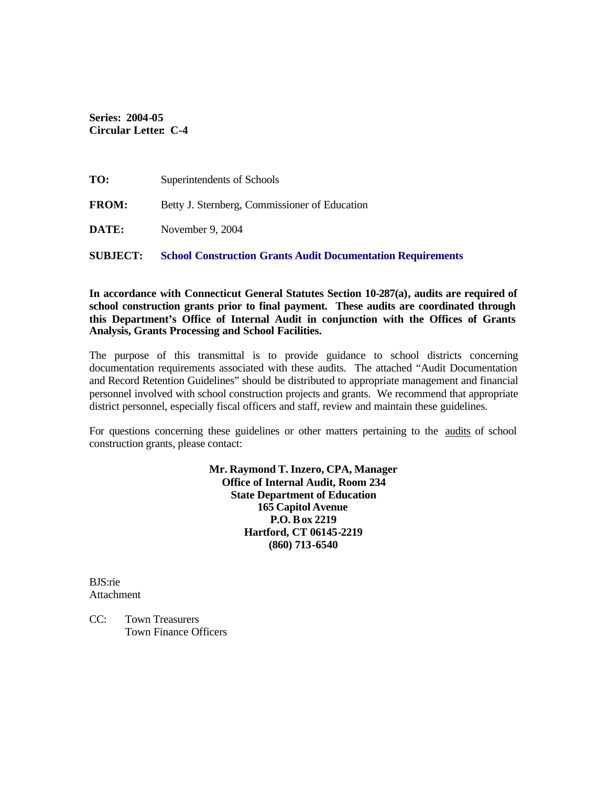**Series: 2004-05 Circular Letter: C-4** 

| <b>SUBJECT:</b> | <b>School Construction Grants Audit Documentation Requirements</b> |
|-----------------|--------------------------------------------------------------------|
| <b>DATE:</b>    | November 9, 2004                                                   |
| <b>FROM:</b>    | Betty J. Sternberg, Commissioner of Education                      |
| TO:             | Superintendents of Schools                                         |

**In accordance with Connecticut General Statutes Section 10-287(a), audits are required of school construction grants prior to final payment. These audits are coordinated through this Department's Office of Internal Audit in conjunction with the Offices of Grants Analysis, Grants Processing and School Facilities.** 

The purpose of this transmittal is to provide guidance to school districts concerning documentation requirements associated with these audits. The attached "Audit Documentation and Record Retention Guidelines" should be distributed to appropriate management and financial personnel involved with school construction projects and grants. We recommend that appropriate district personnel, especially fiscal officers and staff, review and maintain these guidelines.

For questions concerning these guidelines or other matters pertaining to the audits of school construction grants, please contact:

> **Mr. Raymond T. Inzero, CPA, Manager Office of Internal Audit, Room 234 State Department of Education 165 Capitol Avenue P.O. Box 2219 Hartford, CT 06145-2219 (860) 713-6540**

BJS:rie Attachment

CC: Town Treasurers Town Finance Officers